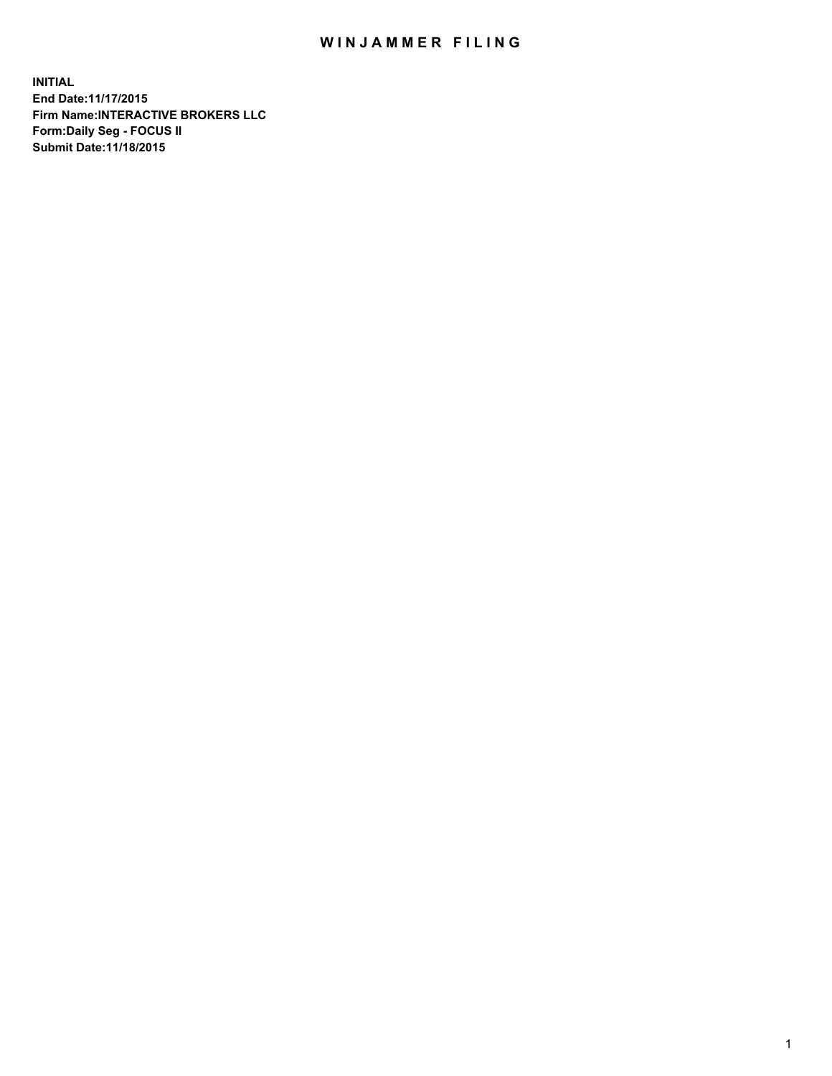## WIN JAMMER FILING

**INITIAL End Date:11/17/2015 Firm Name:INTERACTIVE BROKERS LLC Form:Daily Seg - FOCUS II Submit Date:11/18/2015**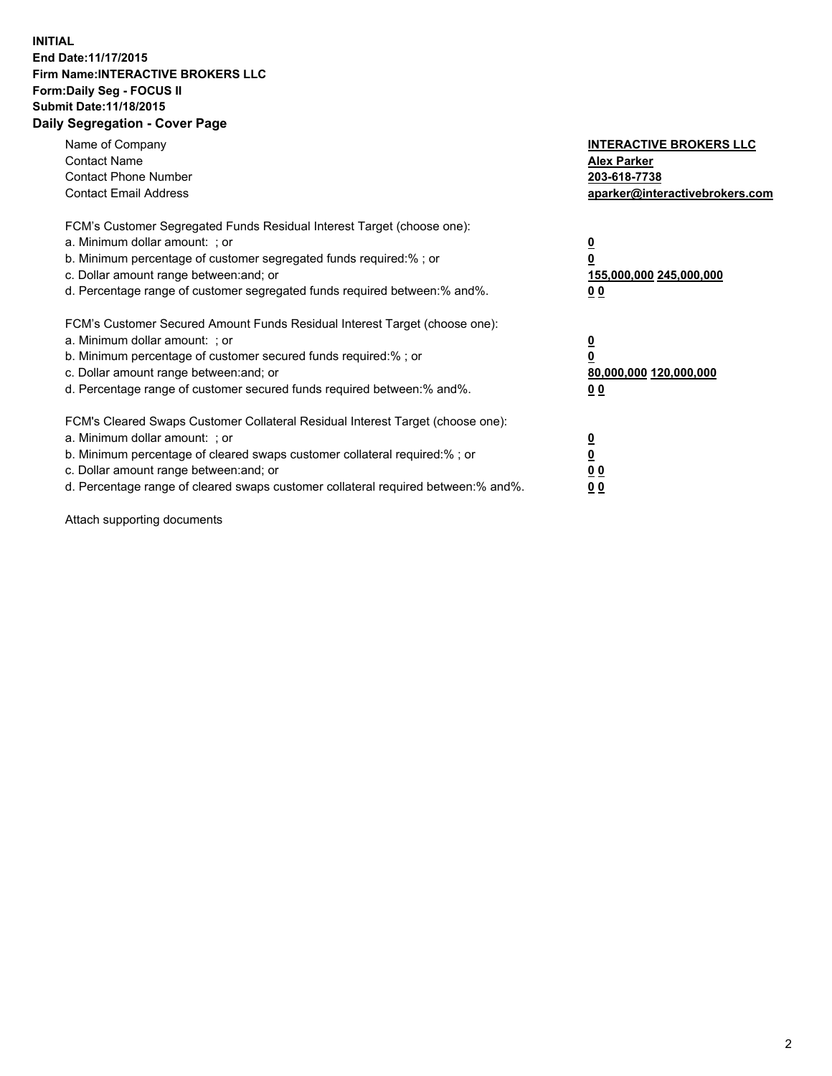## **INITIAL End Date:11/17/2015 Firm Name:INTERACTIVE BROKERS LLC Form:Daily Seg - FOCUS II Submit Date:11/18/2015 Daily Segregation - Cover Page**

| Name of Company<br><b>Contact Name</b><br><b>Contact Phone Number</b><br><b>Contact Email Address</b>                                                                                                                                                                                                                          | <b>INTERACTIVE BROKERS LLC</b><br><b>Alex Parker</b><br>203-618-7738<br>aparker@interactivebrokers.com |
|--------------------------------------------------------------------------------------------------------------------------------------------------------------------------------------------------------------------------------------------------------------------------------------------------------------------------------|--------------------------------------------------------------------------------------------------------|
| FCM's Customer Segregated Funds Residual Interest Target (choose one):<br>a. Minimum dollar amount: ; or<br>b. Minimum percentage of customer segregated funds required:% ; or<br>c. Dollar amount range between: and; or<br>d. Percentage range of customer segregated funds required between:% and%.                         | <u>0</u><br><u>155,000,000 245,000,000</u><br>00                                                       |
| FCM's Customer Secured Amount Funds Residual Interest Target (choose one):<br>a. Minimum dollar amount: ; or<br>b. Minimum percentage of customer secured funds required:%; or<br>c. Dollar amount range between: and; or<br>d. Percentage range of customer secured funds required between: % and %.                          | <u>0</u><br>80,000,000 120,000,000<br>0 <sub>0</sub>                                                   |
| FCM's Cleared Swaps Customer Collateral Residual Interest Target (choose one):<br>a. Minimum dollar amount: ; or<br>b. Minimum percentage of cleared swaps customer collateral required:% ; or<br>c. Dollar amount range between: and; or<br>d. Percentage range of cleared swaps customer collateral required between:% and%. | <u>0</u><br>0 <sub>0</sub><br><u>0 0</u>                                                               |

Attach supporting documents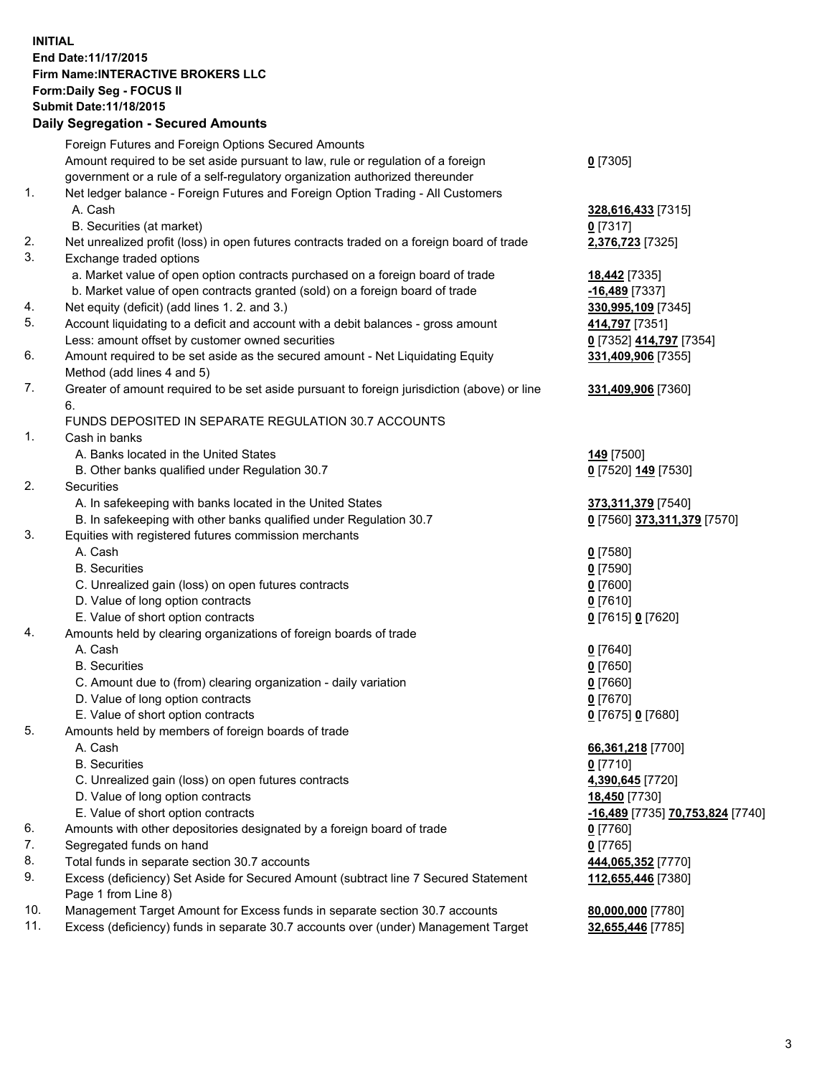## **INITIAL End Date:11/17/2015 Firm Name:INTERACTIVE BROKERS LLC Form:Daily Seg - FOCUS II Submit Date:11/18/2015 Daily Segregation - Secured Amounts**

|                | Daily Jegregation - Jeculed Aniounts                                                                       |                                  |
|----------------|------------------------------------------------------------------------------------------------------------|----------------------------------|
|                | Foreign Futures and Foreign Options Secured Amounts                                                        |                                  |
|                | Amount required to be set aside pursuant to law, rule or regulation of a foreign                           | $0$ [7305]                       |
|                | government or a rule of a self-regulatory organization authorized thereunder                               |                                  |
| 1.             | Net ledger balance - Foreign Futures and Foreign Option Trading - All Customers                            |                                  |
|                | A. Cash                                                                                                    | 328,616,433 [7315]               |
|                | B. Securities (at market)                                                                                  | $0$ [7317]                       |
| 2.             | Net unrealized profit (loss) in open futures contracts traded on a foreign board of trade                  | 2,376,723 [7325]                 |
| 3.             | Exchange traded options                                                                                    |                                  |
|                | a. Market value of open option contracts purchased on a foreign board of trade                             | <b>18,442</b> [7335]             |
|                | b. Market value of open contracts granted (sold) on a foreign board of trade                               | $-16,489$ [7337]                 |
| 4.             | Net equity (deficit) (add lines 1.2. and 3.)                                                               | 330,995,109 [7345]               |
| 5.             | Account liquidating to a deficit and account with a debit balances - gross amount                          | 414,797 [7351]                   |
|                | Less: amount offset by customer owned securities                                                           | 0 [7352] 414,797 [7354]          |
| 6.             | Amount required to be set aside as the secured amount - Net Liquidating Equity                             | 331,409,906 [7355]               |
|                | Method (add lines 4 and 5)                                                                                 |                                  |
| 7.             | Greater of amount required to be set aside pursuant to foreign jurisdiction (above) or line                | 331,409,906 [7360]               |
|                | 6.                                                                                                         |                                  |
|                | FUNDS DEPOSITED IN SEPARATE REGULATION 30.7 ACCOUNTS                                                       |                                  |
| $\mathbf{1}$ . | Cash in banks                                                                                              |                                  |
|                | A. Banks located in the United States                                                                      | 149 <sub>[7500]</sub>            |
|                | B. Other banks qualified under Regulation 30.7                                                             | 0 [7520] 149 [7530]              |
| 2.             | Securities                                                                                                 |                                  |
|                | A. In safekeeping with banks located in the United States                                                  | 373,311,379 [7540]               |
|                | B. In safekeeping with other banks qualified under Regulation 30.7                                         | 0 [7560] 373,311,379 [7570]      |
| 3.             | Equities with registered futures commission merchants                                                      |                                  |
|                | A. Cash                                                                                                    | $0$ [7580]                       |
|                | <b>B.</b> Securities                                                                                       | $0$ [7590]                       |
|                | C. Unrealized gain (loss) on open futures contracts                                                        | $0$ [7600]                       |
|                | D. Value of long option contracts                                                                          | $0$ [7610]                       |
|                | E. Value of short option contracts                                                                         | 0 [7615] 0 [7620]                |
| 4.             | Amounts held by clearing organizations of foreign boards of trade                                          |                                  |
|                | A. Cash                                                                                                    | $0$ [7640]                       |
|                | <b>B.</b> Securities                                                                                       | $0$ [7650]                       |
|                | C. Amount due to (from) clearing organization - daily variation                                            | $0$ [7660]                       |
|                | D. Value of long option contracts                                                                          | $0$ [7670]                       |
|                | E. Value of short option contracts                                                                         | 0 [7675] 0 [7680]                |
| 5.             | Amounts held by members of foreign boards of trade                                                         |                                  |
|                | A. Cash                                                                                                    | 66,361,218 [7700]                |
|                | <b>B.</b> Securities                                                                                       | $0$ [7710]                       |
|                | C. Unrealized gain (loss) on open futures contracts                                                        | 4,390,645 [7720]                 |
|                | D. Value of long option contracts                                                                          | 18,450 [7730]                    |
|                | E. Value of short option contracts                                                                         | -16,489 [7735] 70,753,824 [7740] |
| 6.             | Amounts with other depositories designated by a foreign board of trade                                     | $0$ [7760]                       |
| 7.             | Segregated funds on hand                                                                                   | $0$ [7765]                       |
| 8.             | Total funds in separate section 30.7 accounts                                                              | 444,065,352 [7770]               |
| 9.             | Excess (deficiency) Set Aside for Secured Amount (subtract line 7 Secured Statement<br>Page 1 from Line 8) | 112,655,446 [7380]               |
| 10.            | Management Target Amount for Excess funds in separate section 30.7 accounts                                | 80,000,000 [7780]                |
| 11.            | Excess (deficiency) funds in separate 30.7 accounts over (under) Management Target                         | 32,655,446 [7785]                |
|                |                                                                                                            |                                  |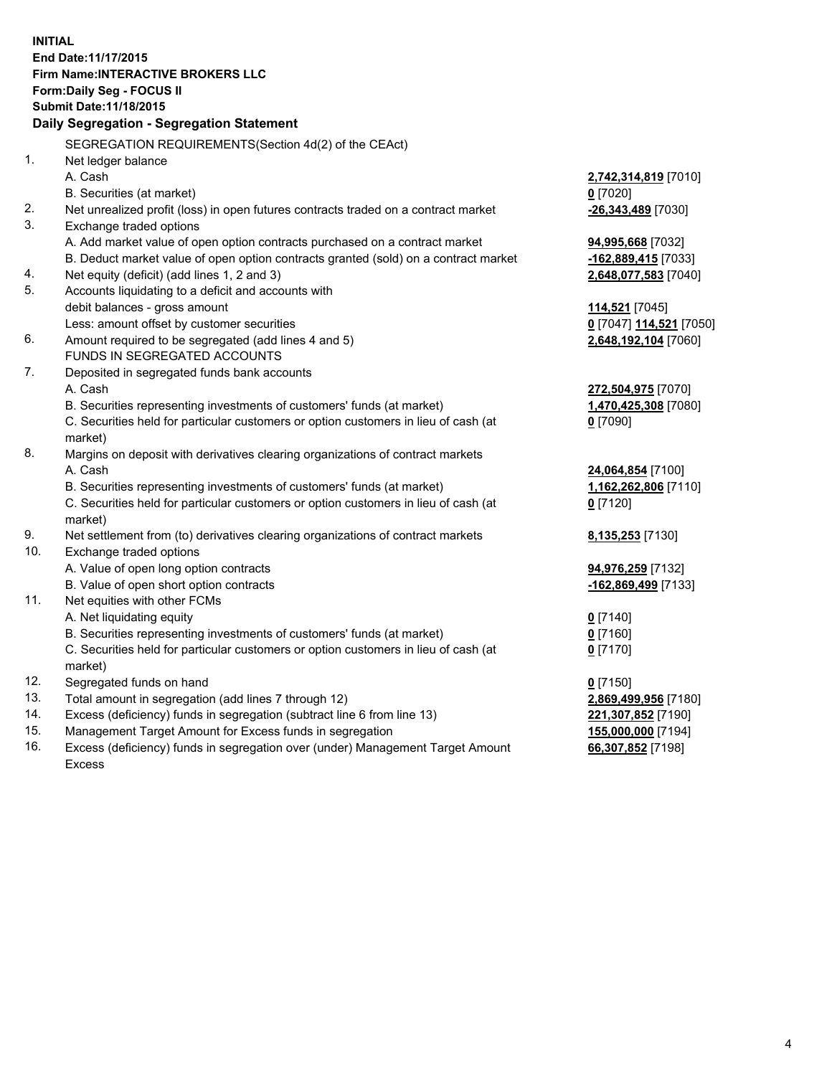**INITIAL End Date:11/17/2015 Firm Name:INTERACTIVE BROKERS LLC Form:Daily Seg - FOCUS II Submit Date:11/18/2015 Daily Segregation - Segregation Statement** SEGREGATION REQUIREMENTS(Section 4d(2) of the CEAct) 1. Net ledger balance A. Cash **2,742,314,819** [7010] B. Securities (at market) **0** [7020] 2. Net unrealized profit (loss) in open futures contracts traded on a contract market **-26,343,489** [7030] 3. Exchange traded options A. Add market value of open option contracts purchased on a contract market **94,995,668** [7032] B. Deduct market value of open option contracts granted (sold) on a contract market **-162,889,415** [7033] 4. Net equity (deficit) (add lines 1, 2 and 3) **2,648,077,583** [7040] 5. Accounts liquidating to a deficit and accounts with debit balances - gross amount **114,521** [7045] Less: amount offset by customer securities **0** [7047] **114,521** [7050] 6. Amount required to be segregated (add lines 4 and 5) **2,648,192,104** [7060] FUNDS IN SEGREGATED ACCOUNTS 7. Deposited in segregated funds bank accounts A. Cash **272,504,975** [7070] B. Securities representing investments of customers' funds (at market) **1,470,425,308** [7080] C. Securities held for particular customers or option customers in lieu of cash (at market) **0** [7090] 8. Margins on deposit with derivatives clearing organizations of contract markets A. Cash **24,064,854** [7100] B. Securities representing investments of customers' funds (at market) **1,162,262,806** [7110] C. Securities held for particular customers or option customers in lieu of cash (at market) **0** [7120] 9. Net settlement from (to) derivatives clearing organizations of contract markets **8,135,253** [7130] 10. Exchange traded options A. Value of open long option contracts **94,976,259** [7132] B. Value of open short option contracts **-162,869,499** [7133] 11. Net equities with other FCMs A. Net liquidating equity **0** [7140] B. Securities representing investments of customers' funds (at market) **0** [7160] C. Securities held for particular customers or option customers in lieu of cash (at market) **0** [7170] 12. Segregated funds on hand **0** [7150] 13. Total amount in segregation (add lines 7 through 12) **2,869,499,956** [7180] 14. Excess (deficiency) funds in segregation (subtract line 6 from line 13) **221,307,852** [7190] 15. Management Target Amount for Excess funds in segregation **155,000,000** [7194]

16. Excess (deficiency) funds in segregation over (under) Management Target Amount Excess

**66,307,852** [7198]